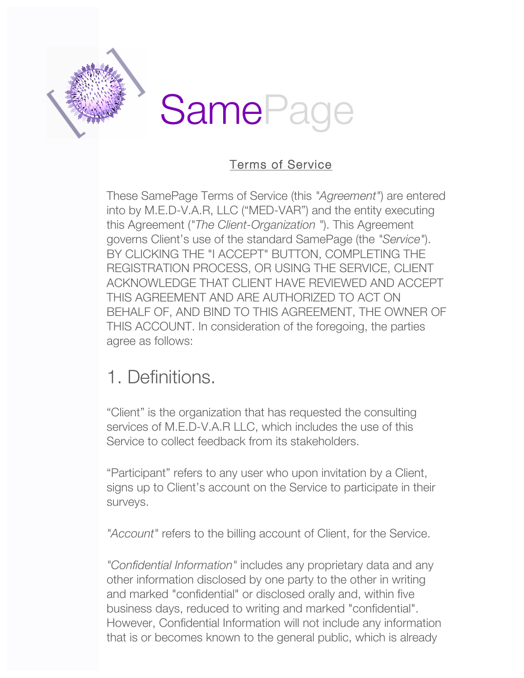

#### Terms of Service

These SamePage Terms of Service (this *"Agreement"*) are entered into by M.E.D-V.A.R, LLC ("MED-VAR") and the entity executing this Agreement (*"The Client-Organization "*). This Agreement governs Client's use of the standard SamePage (the *"Service"*). BY CLICKING THE "I ACCEPT" BUTTON, COMPLETING THE REGISTRATION PROCESS, OR USING THE SERVICE, CLIENT ACKNOWLEDGE THAT CLIENT HAVE REVIEWED AND ACCEPT THIS AGREEMENT AND ARE AUTHORIZED TO ACT ON BEHALF OF, AND BIND TO THIS AGREEMENT, THE OWNER OF THIS ACCOUNT. In consideration of the foregoing, the parties agree as follows:

### 1. Definitions.

"Client" is the organization that has requested the consulting services of M.E.D-V.A.R LLC, which includes the use of this Service to collect feedback from its stakeholders.

"Participant" refers to any user who upon invitation by a Client, signs up to Client's account on the Service to participate in their surveys.

*"Account"* refers to the billing account of Client, for the Service.

*"Confidential Information"* includes any proprietary data and any other information disclosed by one party to the other in writing and marked "confidential" or disclosed orally and, within five business days, reduced to writing and marked "confidential". However, Confidential Information will not include any information that is or becomes known to the general public, which is already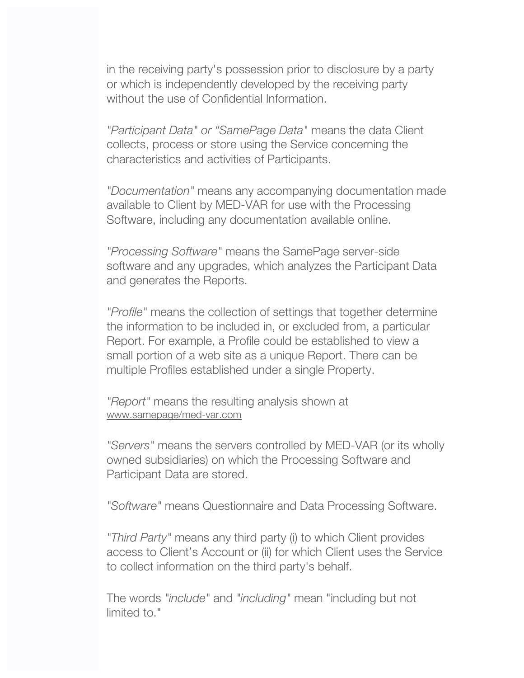in the receiving party's possession prior to disclosure by a party or which is independently developed by the receiving party without the use of Confidential Information.

*"Participant Data" or "SamePage Data"* means the data Client collects, process or store using the Service concerning the characteristics and activities of Participants.

*"Documentation"* means any accompanying documentation made available to Client by MED-VAR for use with the Processing Software, including any documentation available online.

*"Processing Software"* means the SamePage server-side software and any upgrades, which analyzes the Participant Data and generates the Reports.

*"Profile"* means the collection of settings that together determine the information to be included in, or excluded from, a particular Report. For example, a Profile could be established to view a small portion of a web site as a unique Report. There can be multiple Profiles established under a single Property.

*"Report"* means the resulting analysis shown at www.samepage/med-var.com

*"Servers"* means the servers controlled by MED-VAR (or its wholly owned subsidiaries) on which the Processing Software and Participant Data are stored.

*"Software"* means Questionnaire and Data Processing Software.

*"Third Party"* means any third party (i) to which Client provides access to Client's Account or (ii) for which Client uses the Service to collect information on the third party's behalf.

The words *"include"* and *"including"* mean "including but not limited to."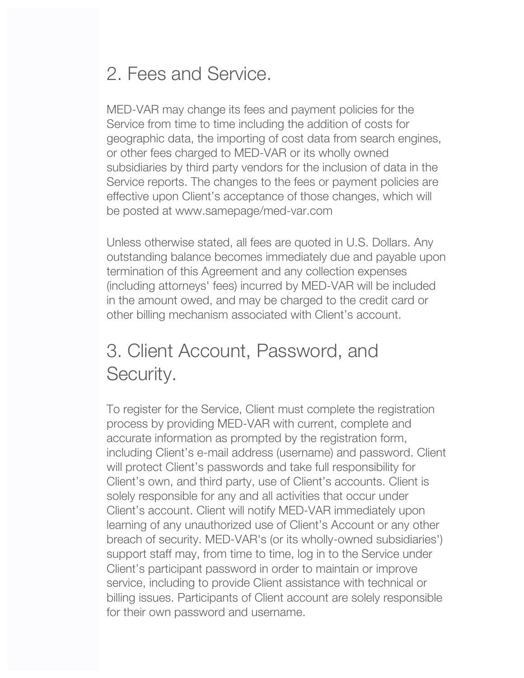# 2. Fees and Service.

MED-VAR may change its fees and payment policies for the Service from time to time including the addition of costs for geographic data, the importing of cost data from search engines, or other fees charged to MED-VAR or its wholly owned subsidiaries by third party vendors for the inclusion of data in the Service reports. The changes to the fees or payment policies are effective upon Client's acceptance of those changes, which will be posted at www.samepage/med-var.com

Unless otherwise stated, all fees are quoted in U.S. Dollars. Any outstanding balance becomes immediately due and payable upon termination of this Agreement and any collection expenses (including attorneys' fees) incurred by MED-VAR will be included in the amount owed, and may be charged to the credit card or other billing mechanism associated with Client's account.

# 3. Client Account, Password, and Security.

To register for the Service, Client must complete the registration process by providing MED-VAR with current, complete and accurate information as prompted by the registration form, including Client's e-mail address (username) and password. Client will protect Client's passwords and take full responsibility for Client's own, and third party, use of Client's accounts. Client is solely responsible for any and all activities that occur under Client's account. Client will notify MED-VAR immediately upon learning of any unauthorized use of Client's Account or any other breach of security. MED-VAR's (or its wholly-owned subsidiaries') support staff may, from time to time, log in to the Service under Client's participant password in order to maintain or improve service, including to provide Client assistance with technical or billing issues. Participants of Client account are solely responsible for their own password and username.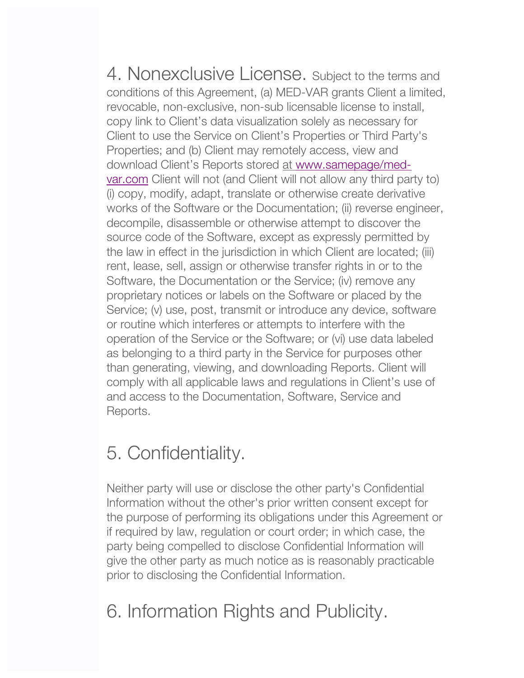4. Nonexclusive License. Subject to the terms and conditions of this Agreement, (a) MED-VAR grants Client a limited, revocable, non-exclusive, non-sub licensable license to install, copy link to Client's data visualization solely as necessary for Client to use the Service on Client's Properties or Third Party's Properties; and (b) Client may remotely access, view and download Client's Reports stored at www.samepage/medvar.com Client will not (and Client will not allow any third party to) (i) copy, modify, adapt, translate or otherwise create derivative works of the Software or the Documentation; (ii) reverse engineer, decompile, disassemble or otherwise attempt to discover the source code of the Software, except as expressly permitted by the law in effect in the jurisdiction in which Client are located; (iii) rent, lease, sell, assign or otherwise transfer rights in or to the Software, the Documentation or the Service; (iv) remove any proprietary notices or labels on the Software or placed by the Service; (v) use, post, transmit or introduce any device, software or routine which interferes or attempts to interfere with the operation of the Service or the Software; or (vi) use data labeled as belonging to a third party in the Service for purposes other than generating, viewing, and downloading Reports. Client will comply with all applicable laws and regulations in Client's use of and access to the Documentation, Software, Service and Reports.

## 5. Confidentiality.

Neither party will use or disclose the other party's Confidential Information without the other's prior written consent except for the purpose of performing its obligations under this Agreement or if required by law, regulation or court order; in which case, the party being compelled to disclose Confidential Information will give the other party as much notice as is reasonably practicable prior to disclosing the Confidential Information.

# 6. Information Rights and Publicity.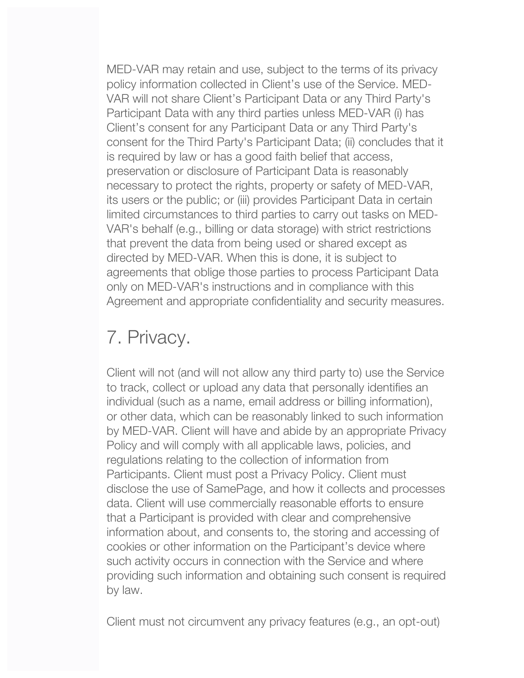MED-VAR may retain and use, subject to the terms of its privacy policy information collected in Client's use of the Service. MED-VAR will not share Client's Participant Data or any Third Party's Participant Data with any third parties unless MED-VAR (i) has Client's consent for any Participant Data or any Third Party's consent for the Third Party's Participant Data; (ii) concludes that it is required by law or has a good faith belief that access, preservation or disclosure of Participant Data is reasonably necessary to protect the rights, property or safety of MED-VAR, its users or the public; or (iii) provides Participant Data in certain limited circumstances to third parties to carry out tasks on MED-VAR's behalf (e.g., billing or data storage) with strict restrictions that prevent the data from being used or shared except as directed by MED-VAR. When this is done, it is subject to agreements that oblige those parties to process Participant Data only on MED-VAR's instructions and in compliance with this Agreement and appropriate confidentiality and security measures.

#### 7. Privacy.

Client will not (and will not allow any third party to) use the Service to track, collect or upload any data that personally identifies an individual (such as a name, email address or billing information), or other data, which can be reasonably linked to such information by MED-VAR. Client will have and abide by an appropriate Privacy Policy and will comply with all applicable laws, policies, and regulations relating to the collection of information from Participants. Client must post a Privacy Policy. Client must disclose the use of SamePage, and how it collects and processes data. Client will use commercially reasonable efforts to ensure that a Participant is provided with clear and comprehensive information about, and consents to, the storing and accessing of cookies or other information on the Participant's device where such activity occurs in connection with the Service and where providing such information and obtaining such consent is required by law.

Client must not circumvent any privacy features (e.g., an opt-out)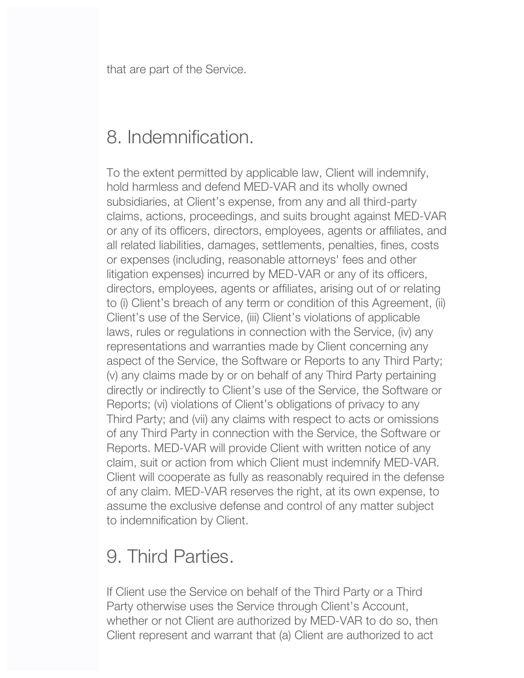that are part of the Service.

### 8. Indemnification.

To the extent permitted by applicable law, Client will indemnify, hold harmless and defend MED-VAR and its wholly owned subsidiaries, at Client's expense, from any and all third-party claims, actions, proceedings, and suits brought against MED-VAR or any of its officers, directors, employees, agents or affiliates, and all related liabilities, damages, settlements, penalties, fines, costs or expenses (including, reasonable attorneys' fees and other litigation expenses) incurred by MED-VAR or any of its officers, directors, employees, agents or affiliates, arising out of or relating to (i) Client's breach of any term or condition of this Agreement, (ii) Client's use of the Service, (iii) Client's violations of applicable laws, rules or regulations in connection with the Service, (iv) any representations and warranties made by Client concerning any aspect of the Service, the Software or Reports to any Third Party; (v) any claims made by or on behalf of any Third Party pertaining directly or indirectly to Client's use of the Service, the Software or Reports; (vi) violations of Client's obligations of privacy to any Third Party; and (vii) any claims with respect to acts or omissions of any Third Party in connection with the Service, the Software or Reports. MED-VAR will provide Client with written notice of any claim, suit or action from which Client must indemnify MED-VAR. Client will cooperate as fully as reasonably required in the defense of any claim. MED-VAR reserves the right, at its own expense, to assume the exclusive defense and control of any matter subject to indemnification by Client.

## 9. Third Parties.

If Client use the Service on behalf of the Third Party or a Third Party otherwise uses the Service through Client's Account, whether or not Client are authorized by MED-VAR to do so, then Client represent and warrant that (a) Client are authorized to act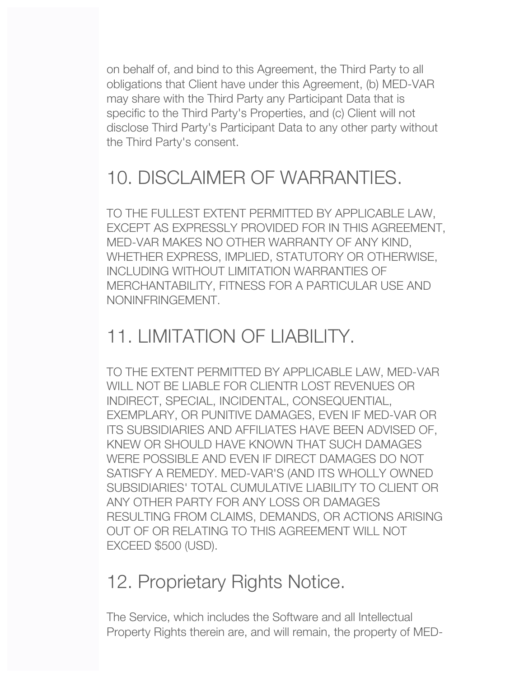on behalf of, and bind to this Agreement, the Third Party to all obligations that Client have under this Agreement, (b) MED-VAR may share with the Third Party any Participant Data that is specific to the Third Party's Properties, and (c) Client will not disclose Third Party's Participant Data to any other party without the Third Party's consent.

# 10. DISCLAIMER OF WARRANTIES.

TO THE FULLEST EXTENT PERMITTED BY APPLICABLE LAW, EXCEPT AS EXPRESSLY PROVIDED FOR IN THIS AGREEMENT, MED-VAR MAKES NO OTHER WARRANTY OF ANY KIND, WHETHER EXPRESS, IMPLIED, STATUTORY OR OTHERWISE, INCLUDING WITHOUT LIMITATION WARRANTIES OF MERCHANTABILITY, FITNESS FOR A PARTICULAR USE AND NONINFRINGEMENT.

#### 11. LIMITATION OF LIABILITY.

TO THE EXTENT PERMITTED BY APPLICABLE LAW, MED-VAR WILL NOT BE LIABLE FOR CLIENTR LOST REVENUES OR INDIRECT, SPECIAL, INCIDENTAL, CONSEQUENTIAL, EXEMPLARY, OR PUNITIVE DAMAGES, EVEN IF MED-VAR OR ITS SUBSIDIARIES AND AFFILIATES HAVE BEEN ADVISED OF, KNEW OR SHOULD HAVE KNOWN THAT SUCH DAMAGES WERE POSSIBLE AND EVEN IF DIRECT DAMAGES DO NOT SATISFY A REMEDY. MED-VAR'S (AND ITS WHOLLY OWNED SUBSIDIARIES' TOTAL CUMULATIVE LIABILITY TO CLIENT OR ANY OTHER PARTY FOR ANY LOSS OR DAMAGES RESULTING FROM CLAIMS, DEMANDS, OR ACTIONS ARISING OUT OF OR RELATING TO THIS AGREEMENT WILL NOT EXCEED \$500 (USD).

#### 12. Proprietary Rights Notice.

The Service, which includes the Software and all Intellectual Property Rights therein are, and will remain, the property of MED-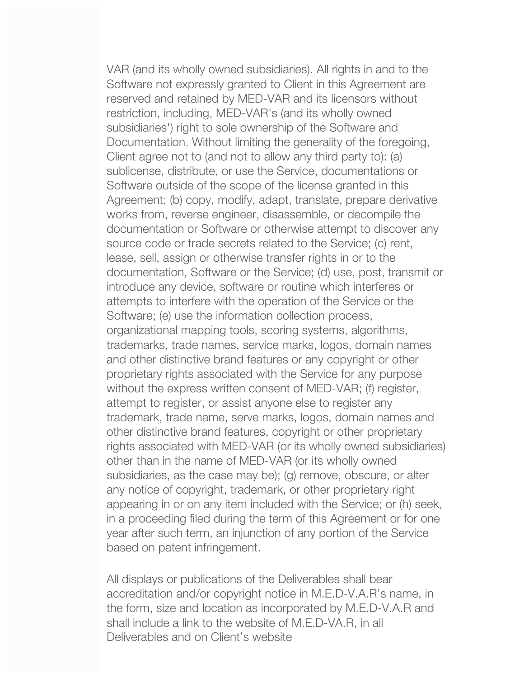VAR (and its wholly owned subsidiaries). All rights in and to the Software not expressly granted to Client in this Agreement are reserved and retained by MED-VAR and its licensors without restriction, including, MED-VAR's (and its wholly owned subsidiaries') right to sole ownership of the Software and Documentation. Without limiting the generality of the foregoing, Client agree not to (and not to allow any third party to): (a) sublicense, distribute, or use the Service, documentations or Software outside of the scope of the license granted in this Agreement; (b) copy, modify, adapt, translate, prepare derivative works from, reverse engineer, disassemble, or decompile the documentation or Software or otherwise attempt to discover any source code or trade secrets related to the Service; (c) rent, lease, sell, assign or otherwise transfer rights in or to the documentation, Software or the Service; (d) use, post, transmit or introduce any device, software or routine which interferes or attempts to interfere with the operation of the Service or the Software; (e) use the information collection process, organizational mapping tools, scoring systems, algorithms, trademarks, trade names, service marks, logos, domain names and other distinctive brand features or any copyright or other proprietary rights associated with the Service for any purpose without the express written consent of MED-VAR; (f) register, attempt to register, or assist anyone else to register any trademark, trade name, serve marks, logos, domain names and other distinctive brand features, copyright or other proprietary rights associated with MED-VAR (or its wholly owned subsidiaries) other than in the name of MED-VAR (or its wholly owned subsidiaries, as the case may be); (g) remove, obscure, or alter any notice of copyright, trademark, or other proprietary right appearing in or on any item included with the Service; or (h) seek, in a proceeding filed during the term of this Agreement or for one year after such term, an injunction of any portion of the Service based on patent infringement.

All displays or publications of the Deliverables shall bear accreditation and/or copyright notice in M.E.D-V.A.R's name, in the form, size and location as incorporated by M.E.D-V.A.R and shall include a link to the website of M.E.D-VA.R, in all Deliverables and on Client's website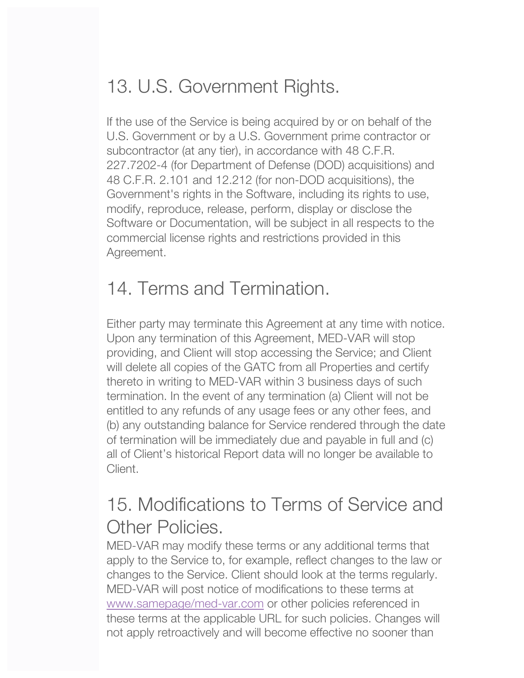# 13. U.S. Government Rights.

If the use of the Service is being acquired by or on behalf of the U.S. Government or by a U.S. Government prime contractor or subcontractor (at any tier), in accordance with 48 C.F.R. 227.7202-4 (for Department of Defense (DOD) acquisitions) and 48 C.F.R. 2.101 and 12.212 (for non-DOD acquisitions), the Government's rights in the Software, including its rights to use, modify, reproduce, release, perform, display or disclose the Software or Documentation, will be subject in all respects to the commercial license rights and restrictions provided in this Agreement.

# 14. Terms and Termination.

Either party may terminate this Agreement at any time with notice. Upon any termination of this Agreement, MED-VAR will stop providing, and Client will stop accessing the Service; and Client will delete all copies of the GATC from all Properties and certify thereto in writing to MED-VAR within 3 business days of such termination. In the event of any termination (a) Client will not be entitled to any refunds of any usage fees or any other fees, and (b) any outstanding balance for Service rendered through the date of termination will be immediately due and payable in full and (c) all of Client's historical Report data will no longer be available to Client.

## 15. Modifications to Terms of Service and Other Policies.

MED-VAR may modify these terms or any additional terms that apply to the Service to, for example, reflect changes to the law or changes to the Service. Client should look at the terms regularly. MED-VAR will post notice of modifications to these terms at www.samepage/med-var.com or other policies referenced in these terms at the applicable URL for such policies. Changes will not apply retroactively and will become effective no sooner than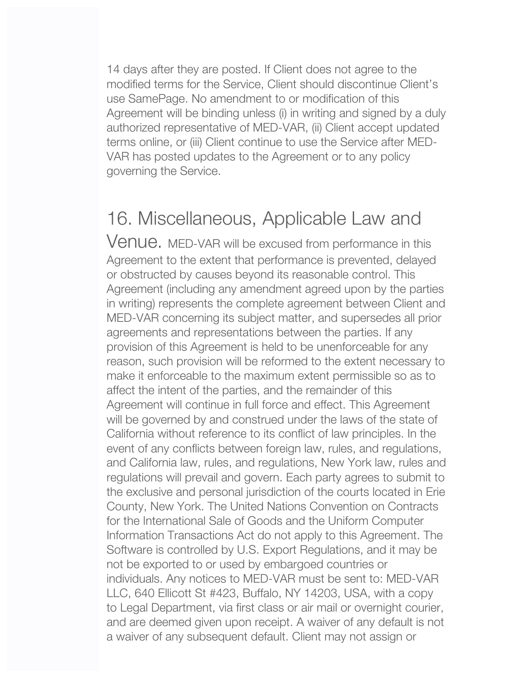14 days after they are posted. If Client does not agree to the modified terms for the Service, Client should discontinue Client's use SamePage. No amendment to or modification of this Agreement will be binding unless (i) in writing and signed by a duly authorized representative of MED-VAR, (ii) Client accept updated terms online, or (iii) Client continue to use the Service after MED-VAR has posted updates to the Agreement or to any policy governing the Service.

### 16. Miscellaneous, Applicable Law and

Venue. MED-VAR will be excused from performance in this Agreement to the extent that performance is prevented, delayed or obstructed by causes beyond its reasonable control. This Agreement (including any amendment agreed upon by the parties in writing) represents the complete agreement between Client and MED-VAR concerning its subject matter, and supersedes all prior agreements and representations between the parties. If any provision of this Agreement is held to be unenforceable for any reason, such provision will be reformed to the extent necessary to make it enforceable to the maximum extent permissible so as to affect the intent of the parties, and the remainder of this Agreement will continue in full force and effect. This Agreement will be governed by and construed under the laws of the state of California without reference to its conflict of law principles. In the event of any conflicts between foreign law, rules, and regulations, and California law, rules, and regulations, New York law, rules and regulations will prevail and govern. Each party agrees to submit to the exclusive and personal jurisdiction of the courts located in Erie County, New York. The United Nations Convention on Contracts for the International Sale of Goods and the Uniform Computer Information Transactions Act do not apply to this Agreement. The Software is controlled by U.S. Export Regulations, and it may be not be exported to or used by embargoed countries or individuals. Any notices to MED-VAR must be sent to: MED-VAR LLC, 640 Ellicott St #423, Buffalo, NY 14203, USA, with a copy to Legal Department, via first class or air mail or overnight courier, and are deemed given upon receipt. A waiver of any default is not a waiver of any subsequent default. Client may not assign or